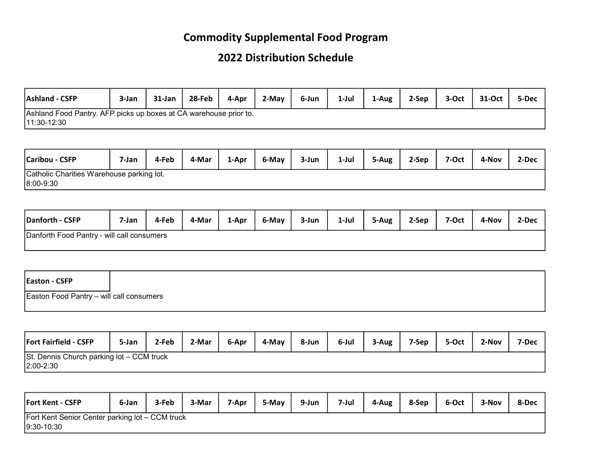## Commodity Supplemental Food Program

## 2022 Distribution Schedule

| <b>Ashland - CSFP</b>                                             | 3-Jan | 31-Jan | 28-Feb | 4-Apr | 2-May | 6-Jun | 1-Jul | 1-Aug | 2-Sep | 3-Oct | 31-Oct | 5-Dec |
|-------------------------------------------------------------------|-------|--------|--------|-------|-------|-------|-------|-------|-------|-------|--------|-------|
| Ashland Food Pantry. AFP picks up boxes at CA warehouse prior to. |       |        |        |       |       |       |       |       |       |       |        |       |
| $11:30-12:30$                                                     |       |        |        |       |       |       |       |       |       |       |        |       |

| Caribou - CSFP                            | 7-Jan | 4-Feb | 4-Mar | 1-Apr | 6-May | 3-Jun | 1-Jul | 5-Aug | 2-Sep | 7-Oct | 4-Nov | 2-Dec |
|-------------------------------------------|-------|-------|-------|-------|-------|-------|-------|-------|-------|-------|-------|-------|
| Catholic Charities Warehouse parking lot. |       |       |       |       |       |       |       |       |       |       |       |       |
| 8:00-9:30                                 |       |       |       |       |       |       |       |       |       |       |       |       |

| Danforth - CSFP                            | 7-Jan | 4-Feb | 4-Mar | 1-Apr | 6-May | 3-Jun | $1-Jul$ | 5-Aug | 2-Sep | 7-Oct | 4-Nov | 2-Dec |
|--------------------------------------------|-------|-------|-------|-------|-------|-------|---------|-------|-------|-------|-------|-------|
| Danforth Food Pantry - will call consumers |       |       |       |       |       |       |         |       |       |       |       |       |

| <b>Easton - CSFP</b>                     |  |
|------------------------------------------|--|
| Easton Food Pantry - will call consumers |  |

| <b>Fort Fairfield - CSFP</b>              | 5-Jan | 2-Feb | 2-Mar | 6-Apr | 4-May | 8-Jun | 6-Jul | 3-Aug | 7-Sep | 5-Oct | 2-Nov | 7-Dec |  |
|-------------------------------------------|-------|-------|-------|-------|-------|-------|-------|-------|-------|-------|-------|-------|--|
| St. Dennis Church parking lot - CCM truck |       |       |       |       |       |       |       |       |       |       |       |       |  |
| $ 2:00 - 2:30 $                           |       |       |       |       |       |       |       |       |       |       |       |       |  |

| <b>Fort Kent - CSFP</b>                                         | 6-Jan | 3-Feb | 3-Mar | 7-Apr | 5-May | 9-Jun | 7-Jul | 4-Aug | 8-Sep | 6-Oct | 3-Nov | 8-Dec |
|-----------------------------------------------------------------|-------|-------|-------|-------|-------|-------|-------|-------|-------|-------|-------|-------|
| Fort Kent Senior Center parking lot - CCM truck<br>$9:30-10:30$ |       |       |       |       |       |       |       |       |       |       |       |       |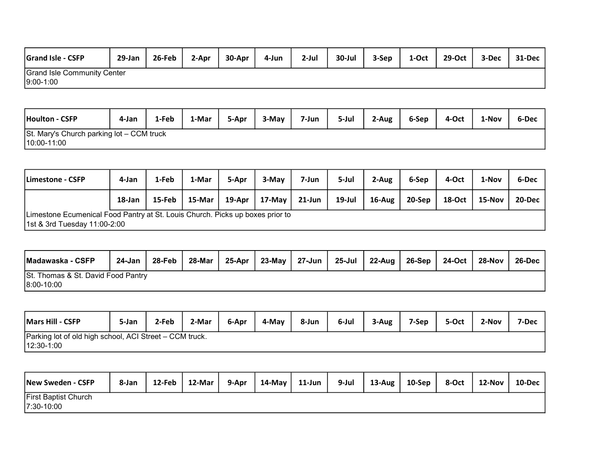| <b>Grand Isle - CSFP</b>           | 29-Jan | 26-Feb | 2-Apr | 30-Apr | 4-Jun | $2$ -Jul | 30-Jul | 3-Sep | 1-Oct | 29-Oct | 3-Dec | 31-Dec |
|------------------------------------|--------|--------|-------|--------|-------|----------|--------|-------|-------|--------|-------|--------|
| <b>Grand Isle Community Center</b> |        |        |       |        |       |          |        |       |       |        |       |        |
| $9:00 - 1:00$                      |        |        |       |        |       |          |        |       |       |        |       |        |

| Houlton - CSFP                            | 4-Jan | 1-Feb | 1-Mar | 5-Apr | 3-May | 7-Jun | 5-Jul | 2-Aug | 6-Sep | 4-Oct | 1-Nov | 6-Dec |
|-------------------------------------------|-------|-------|-------|-------|-------|-------|-------|-------|-------|-------|-------|-------|
| St. Mary's Church parking lot - CCM truck |       |       |       |       |       |       |       |       |       |       |       |       |
| $10:00 - 11:00$                           |       |       |       |       |       |       |       |       |       |       |       |       |

| Limestone - CSFP                                                                                              | 4-Jan  | 1-Feb  | 1-Mar     | 5-Apr  | 3-May  | 7-Jun     | 5-Jul     | 2-Aug     | 6-Sep  | 4-Oct  | 1-Nov  | 6-Dec  |
|---------------------------------------------------------------------------------------------------------------|--------|--------|-----------|--------|--------|-----------|-----------|-----------|--------|--------|--------|--------|
|                                                                                                               | 18-Jan | 15-Feb | $15$ -Mar | 19-Apr | 17-May | $21$ -Jun | $19$ -Jul | $16$ -Aug | 20-Sep | 18-Oct | 15-Nov | 20-Dec |
| Limestone Ecumenical Food Pantry at St. Louis Church. Picks up boxes prior to<br>1st & 3rd Tuesday 11:00-2:00 |        |        |           |        |        |           |           |           |        |        |        |        |

| Madawaska - CSFP                   | 24-Jan | 28-Feb | 28-Mar | 25-Apr | 23-Mav | 27-Jun | 25-Jul | 22-Aug | $\vert$ 26-Sep | 24-Oct | 28-Nov | 26-Dec |
|------------------------------------|--------|--------|--------|--------|--------|--------|--------|--------|----------------|--------|--------|--------|
| St. Thomas & St. David Food Pantry |        |        |        |        |        |        |        |        |                |        |        |        |
| $ 8:00 - 10:00 $                   |        |        |        |        |        |        |        |        |                |        |        |        |

| Mars Hill - CSFP                                        | 5-Jan | 2-Feb | 2-Mar | 6-Apr | 4-May | 8-Jun | 6-Jul | 3-Aug | 7-Sep | 5-Oct | 2-Nov | 7-Dec |
|---------------------------------------------------------|-------|-------|-------|-------|-------|-------|-------|-------|-------|-------|-------|-------|
| Parking lot of old high school, ACI Street – CCM truck. |       |       |       |       |       |       |       |       |       |       |       |       |
| $12:30-1:00$                                            |       |       |       |       |       |       |       |       |       |       |       |       |

| New Sweden - CSFP                           | 8-Jan | 12-Feb | 12-Mar | 9-Apr | 14-May | 11-Jun | 9-Jul | $13$ -Aug | $10-$ Sep | 8-Oct | 12-Nov | $10$ -Dec |
|---------------------------------------------|-------|--------|--------|-------|--------|--------|-------|-----------|-----------|-------|--------|-----------|
| <b>First Baptist Church</b><br>$7:30-10:00$ |       |        |        |       |        |        |       |           |           |       |        |           |
|                                             |       |        |        |       |        |        |       |           |           |       |        |           |